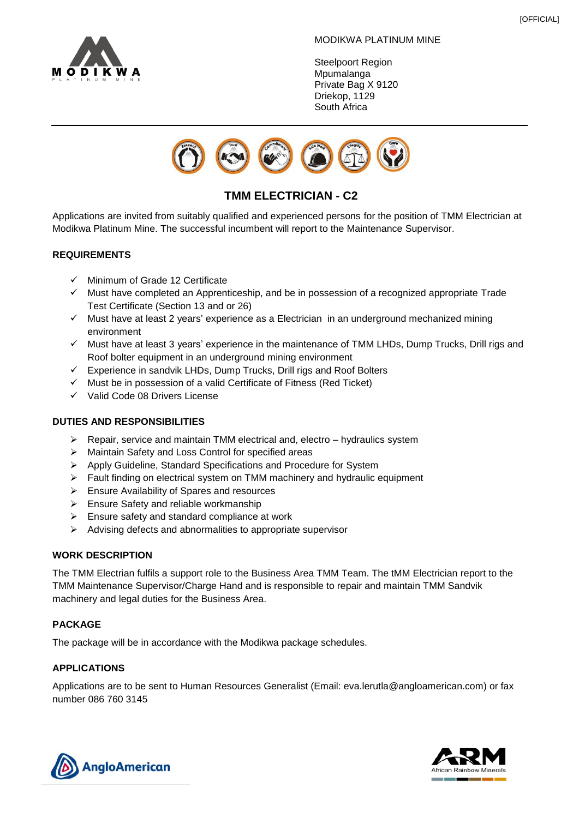

#### MODIKWA PLATINUM MINE

Steelpoort Region **Mpumalanga** Private Bag X 9120 Driekop, 1129 South Africa



# **TMM ELECTRICIAN - C2**

Applications are invited from suitably qualified and experienced persons for the position of TMM Electrician at Modikwa Platinum Mine. The successful incumbent will report to the Maintenance Supervisor.

# **REQUIREMENTS**

- ✓ Minimum of Grade 12 Certificate
- $\checkmark$  Must have completed an Apprenticeship, and be in possession of a recognized appropriate Trade Test Certificate (Section 13 and or 26)
- $\checkmark$  Must have at least 2 years' experience as a Electrician in an underground mechanized mining environment
- ✓ Must have at least 3 years' experience in the maintenance of TMM LHDs, Dump Trucks, Drill rigs and Roof bolter equipment in an underground mining environment
- ✓ Experience in sandvik LHDs, Dump Trucks, Drill rigs and Roof Bolters
- $\checkmark$  Must be in possession of a valid Certificate of Fitness (Red Ticket)
- ✓ Valid Code 08 Drivers License

## **DUTIES AND RESPONSIBILITIES**

- ➢ Repair, service and maintain TMM electrical and, electro hydraulics system
- ➢ Maintain Safety and Loss Control for specified areas
- ➢ Apply Guideline, Standard Specifications and Procedure for System
- ➢ Fault finding on electrical system on TMM machinery and hydraulic equipment
- ➢ Ensure Availability of Spares and resources
- ➢ Ensure Safety and reliable workmanship
- $\triangleright$  Ensure safety and standard compliance at work
- ➢ Advising defects and abnormalities to appropriate supervisor

### **WORK DESCRIPTION**

The TMM Electrian fulfils a support role to the Business Area TMM Team. The tMM Electrician report to the TMM Maintenance Supervisor/Charge Hand and is responsible to repair and maintain TMM Sandvik machinery and legal duties for the Business Area.

# **PACKAGE**

The package will be in accordance with the Modikwa package schedules.

# **APPLICATIONS**

Applications are to be sent to Human Resources Generalist (Email: eva.lerutla@angloamerican.com) or fax number 086 760 3145